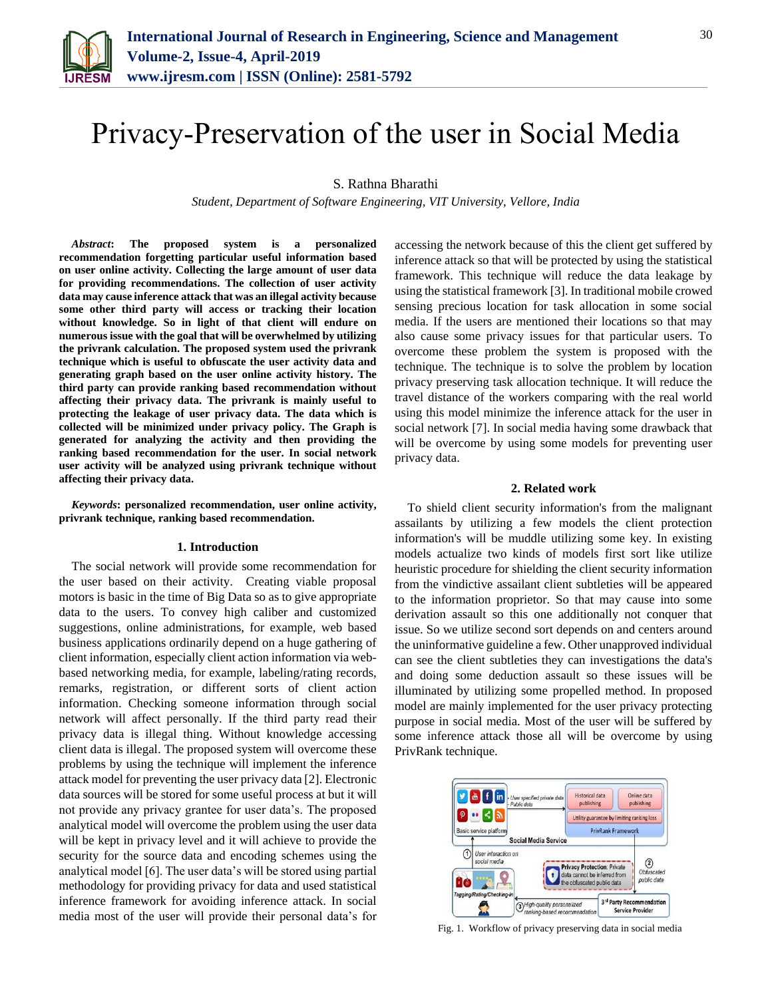

# Privacy-Preservation of the user in Social Media

S. Rathna Bharathi

*Student, Department of Software Engineering, VIT University, Vellore, India*

*Abstract***: The proposed system is a personalized recommendation forgetting particular useful information based on user online activity. Collecting the large amount of user data for providing recommendations. The collection of user activity data may cause inference attack that was an illegal activity because some other third party will access or tracking their location without knowledge. So in light of that client will endure on numerous issue with the goal that will be overwhelmed by utilizing the privrank calculation. The proposed system used the privrank technique which is useful to obfuscate the user activity data and generating graph based on the user online activity history. The third party can provide ranking based recommendation without affecting their privacy data. The privrank is mainly useful to protecting the leakage of user privacy data. The data which is collected will be minimized under privacy policy. The Graph is generated for analyzing the activity and then providing the ranking based recommendation for the user. In social network user activity will be analyzed using privrank technique without affecting their privacy data.**

*Keywords***: personalized recommendation, user online activity, privrank technique, ranking based recommendation.**

#### **1. Introduction**

The social network will provide some recommendation for the user based on their activity. Creating viable proposal motors is basic in the time of Big Data so as to give appropriate data to the users. To convey high caliber and customized suggestions, online administrations, for example, web based business applications ordinarily depend on a huge gathering of client information, especially client action information via webbased networking media, for example, labeling/rating records, remarks, registration, or different sorts of client action information. Checking someone information through social network will affect personally. If the third party read their privacy data is illegal thing. Without knowledge accessing client data is illegal. The proposed system will overcome these problems by using the technique will implement the inference attack model for preventing the user privacy data [2]. Electronic data sources will be stored for some useful process at but it will not provide any privacy grantee for user data's. The proposed analytical model will overcome the problem using the user data will be kept in privacy level and it will achieve to provide the security for the source data and encoding schemes using the analytical model [6]. The user data's will be stored using partial methodology for providing privacy for data and used statistical inference framework for avoiding inference attack. In social media most of the user will provide their personal data's for accessing the network because of this the client get suffered by inference attack so that will be protected by using the statistical framework. This technique will reduce the data leakage by using the statistical framework [3]. In traditional mobile crowed sensing precious location for task allocation in some social media. If the users are mentioned their locations so that may also cause some privacy issues for that particular users. To overcome these problem the system is proposed with the technique. The technique is to solve the problem by location privacy preserving task allocation technique. It will reduce the travel distance of the workers comparing with the real world using this model minimize the inference attack for the user in social network [7]. In social media having some drawback that will be overcome by using some models for preventing user privacy data.

#### **2. Related work**

To shield client security information's from the malignant assailants by utilizing a few models the client protection information's will be muddle utilizing some key. In existing models actualize two kinds of models first sort like utilize heuristic procedure for shielding the client security information from the vindictive assailant client subtleties will be appeared to the information proprietor. So that may cause into some derivation assault so this one additionally not conquer that issue. So we utilize second sort depends on and centers around the uninformative guideline a few. Other unapproved individual can see the client subtleties they can investigations the data's and doing some deduction assault so these issues will be illuminated by utilizing some propelled method. In proposed model are mainly implemented for the user privacy protecting purpose in social media. Most of the user will be suffered by some inference attack those all will be overcome by using PrivRank technique.



Fig. 1. Workflow of privacy preserving data in social media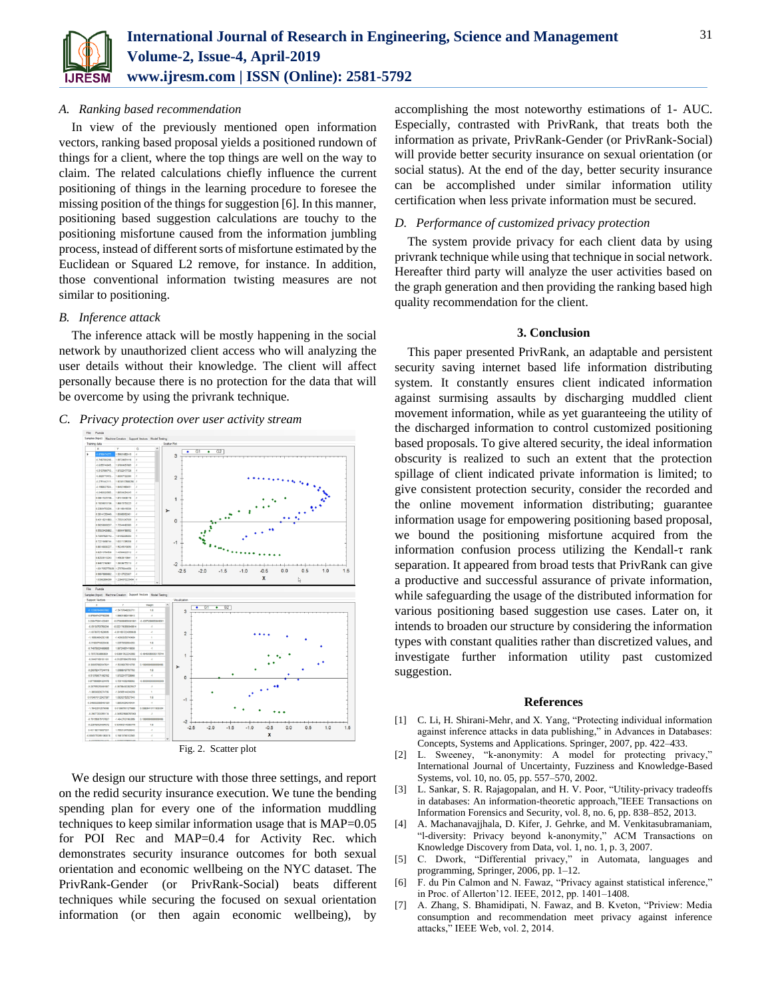

## *A. Ranking based recommendation*

In view of the previously mentioned open information vectors, ranking based proposal yields a positioned rundown of things for a client, where the top things are well on the way to claim. The related calculations chiefly influence the current positioning of things in the learning procedure to foresee the missing position of the things for suggestion [6]. In this manner, positioning based suggestion calculations are touchy to the positioning misfortune caused from the information jumbling process, instead of different sorts of misfortune estimated by the Euclidean or Squared L2 remove, for instance. In addition, those conventional information twisting measures are not similar to positioning.

## *B. Inference attack*

The inference attack will be mostly happening in the social network by unauthorized client access who will analyzing the user details without their knowledge. The client will affect personally because there is no protection for the data that will be overcome by using the privrank technique.

#### *C. Privacy protection over user activity stream*



Fig. 2. Scatter plot

We design our structure with those three settings, and report on the redid security insurance execution. We tune the bending spending plan for every one of the information muddling techniques to keep similar information usage that is MAP=0.05 for POI Rec and MAP=0.4 for Activity Rec. which demonstrates security insurance outcomes for both sexual orientation and economic wellbeing on the NYC dataset. The PrivRank-Gender (or PrivRank-Social) beats different techniques while securing the focused on sexual orientation information (or then again economic wellbeing), by

accomplishing the most noteworthy estimations of 1- AUC. Especially, contrasted with PrivRank, that treats both the information as private, PrivRank-Gender (or PrivRank-Social) will provide better security insurance on sexual orientation (or social status). At the end of the day, better security insurance can be accomplished under similar information utility certification when less private information must be secured.

## *D. Performance of customized privacy protection*

The system provide privacy for each client data by using privrank technique while using that technique in social network. Hereafter third party will analyze the user activities based on the graph generation and then providing the ranking based high quality recommendation for the client.

# **3. Conclusion**

This paper presented PrivRank, an adaptable and persistent security saving internet based life information distributing system. It constantly ensures client indicated information against surmising assaults by discharging muddled client movement information, while as yet guaranteeing the utility of the discharged information to control customized positioning based proposals. To give altered security, the ideal information obscurity is realized to such an extent that the protection spillage of client indicated private information is limited; to give consistent protection security, consider the recorded and the online movement information distributing; guarantee information usage for empowering positioning based proposal, we bound the positioning misfortune acquired from the information confusion process utilizing the Kendall-τ rank separation. It appeared from broad tests that PrivRank can give a productive and successful assurance of private information, while safeguarding the usage of the distributed information for various positioning based suggestion use cases. Later on, it intends to broaden our structure by considering the information types with constant qualities rather than discretized values, and investigate further information utility past customized suggestion.

#### **References**

- [1] C. Li, H. Shirani-Mehr, and X. Yang, "Protecting individual information against inference attacks in data publishing," in Advances in Databases: Concepts, Systems and Applications. Springer, 2007, pp. 422–433.
- [2] L. Sweeney, "k-anonymity: A model for protecting privacy," International Journal of Uncertainty, Fuzziness and Knowledge-Based Systems, vol. 10, no. 05, pp. 557–570, 2002.
- [3] L. Sankar, S. R. Rajagopalan, and H. V. Poor, "Utility-privacy tradeoffs in databases: An information-theoretic approach,"IEEE Transactions on Information Forensics and Security, vol. 8, no. 6, pp. 838–852, 2013.
- [4] A. Machanavajjhala, D. Kifer, J. Gehrke, and M. Venkitasubramaniam, "l-diversity: Privacy beyond k-anonymity," ACM Transactions on Knowledge Discovery from Data, vol. 1, no. 1, p. 3, 2007.
- [5] C. Dwork, "Differential privacy," in Automata, languages and programming, Springer, 2006, pp. 1–12.
- [6] F. du Pin Calmon and N. Fawaz, "Privacy against statistical inference," in Proc. of Allerton'12. IEEE, 2012, pp. 1401–1408.
- [7] A. Zhang, S. Bhamidipati, N. Fawaz, and B. Kveton, "Priview: Media consumption and recommendation meet privacy against inference attacks," IEEE Web, vol. 2, 2014.